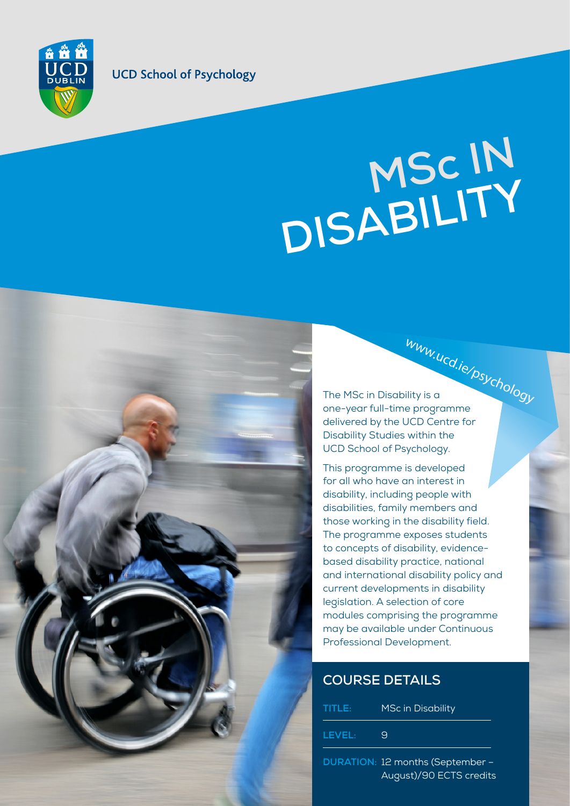### **UCD School of Psychology**

 $\frac{1}{n}$ 

# MSC IN <br>
MSC IN <br> **MSC IN INSCHENTIONS ABILITY MSc I<sup>N</sup> DISABILITY**

www.ucd.ie/psychology The MSc in Disability is a one-year full-time programme delivered by the UCD Centre for Disability Studies within the UCD School of Psychology.

This programme is developed for all who have an interest in disability, including people with disabilities, family members and those working in the disability field. The programme exposes students to concepts of disability, evidencebased disability practice, national and international disability policy and current developments in disability legislation. A selection of core modules comprising the programme may be available under Continuous Professional Development.

## **COURSE DETAILS**

| LEVEL:<br>Я | TITLE: | <b>MSc in Disability</b> |
|-------------|--------|--------------------------|
|             |        |                          |

**DURATION:** 12 months (September – August)/90 ECTS credits